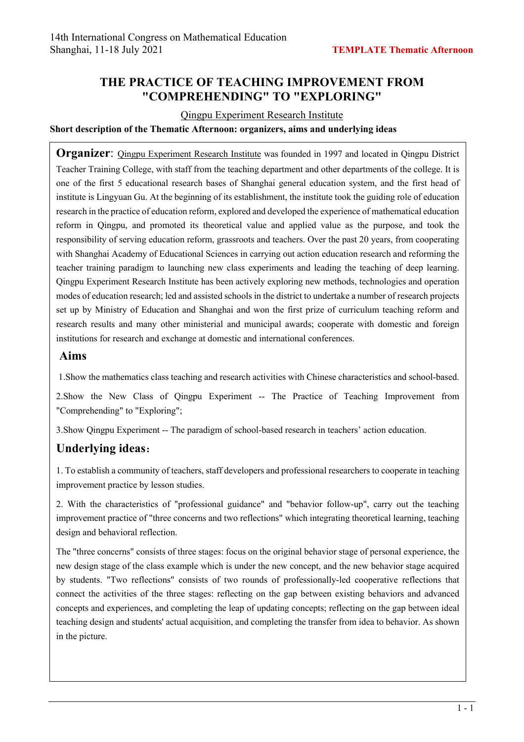# **THE PRACTICE OF TEACHING IMPROVEMENT FROM "COMPREHENDING" TO "EXPLORING"**

### Qingpu Experiment Research Institute

### **Short description of the Thematic Afternoon: organizers, aims and underlying ideas**

**Organizer:** Oingpu Experiment Research Institute was founded in 1997 and located in Qingpu District Teacher Training College, with staff from the teaching department and other departments of the college. It is one of the first 5 educational research bases of Shanghai general education system, and the first head of institute is Lingyuan Gu. At the beginning of its establishment, the institute took the guiding role of education research in the practice of education reform, explored and developed the experience of mathematical education reform in Qingpu, and promoted its theoretical value and applied value as the purpose, and took the responsibility of serving education reform, grassroots and teachers. Over the past 20 years, from cooperating with Shanghai Academy of Educational Sciences in carrying out action education research and reforming the teacher training paradigm to launching new class experiments and leading the teaching of deep learning. Qingpu Experiment Research Institute has been actively exploring new methods, technologies and operation modes of education research; led and assisted schools in the district to undertake a number of research projects set up by Ministry of Education and Shanghai and won the first prize of curriculum teaching reform and research results and many other ministerial and municipal awards; cooperate with domestic and foreign institutions for research and exchange at domestic and international conferences.

### **Aims**

1.Show the mathematics class teaching and research activities with Chinese characteristics and school-based.

2.Show the New Class of Qingpu Experiment -- The Practice of Teaching Improvement from "Comprehending" to "Exploring";

3.Show Qingpu Experiment -- The paradigm of school-based research in teachers' action education.

# **Underlying ideas**:

1. To establish a community of teachers, staff developers and professional researchers to cooperate in teaching improvement practice by lesson studies.

2. With the characteristics of "professional guidance" and "behavior follow-up", carry out the teaching improvement practice of "three concerns and two reflections" which integrating theoretical learning, teaching design and behavioral reflection.

The "three concerns" consists of three stages: focus on the original behavior stage of personal experience, the new design stage of the class example which is under the new concept, and the new behavior stage acquired by students. "Two reflections" consists of two rounds of professionally-led cooperative reflections that connect the activities of the three stages: reflecting on the gap between existing behaviors and advanced concepts and experiences, and completing the leap of updating concepts; reflecting on the gap between ideal teaching design and students' actual acquisition, and completing the transfer from idea to behavior. As shown in the picture.